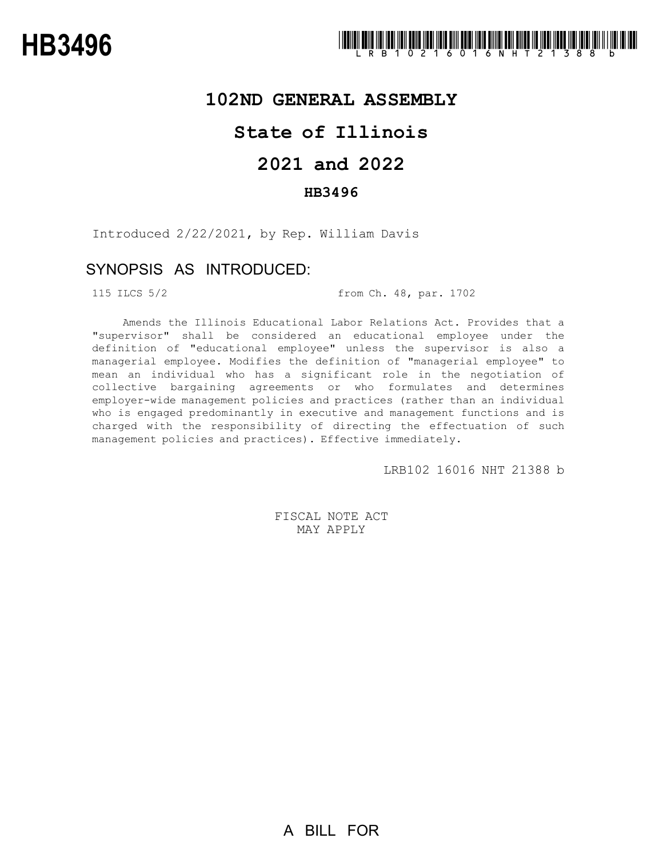### **102ND GENERAL ASSEMBLY**

## **State of Illinois**

# **2021 and 2022**

### **HB3496**

Introduced 2/22/2021, by Rep. William Davis

### SYNOPSIS AS INTRODUCED:

115 ILCS 5/2 from Ch. 48, par. 1702

Amends the Illinois Educational Labor Relations Act. Provides that a "supervisor" shall be considered an educational employee under the definition of "educational employee" unless the supervisor is also a managerial employee. Modifies the definition of "managerial employee" to mean an individual who has a significant role in the negotiation of collective bargaining agreements or who formulates and determines employer-wide management policies and practices (rather than an individual who is engaged predominantly in executive and management functions and is charged with the responsibility of directing the effectuation of such management policies and practices). Effective immediately.

LRB102 16016 NHT 21388 b

FISCAL NOTE ACT MAY APPLY

A BILL FOR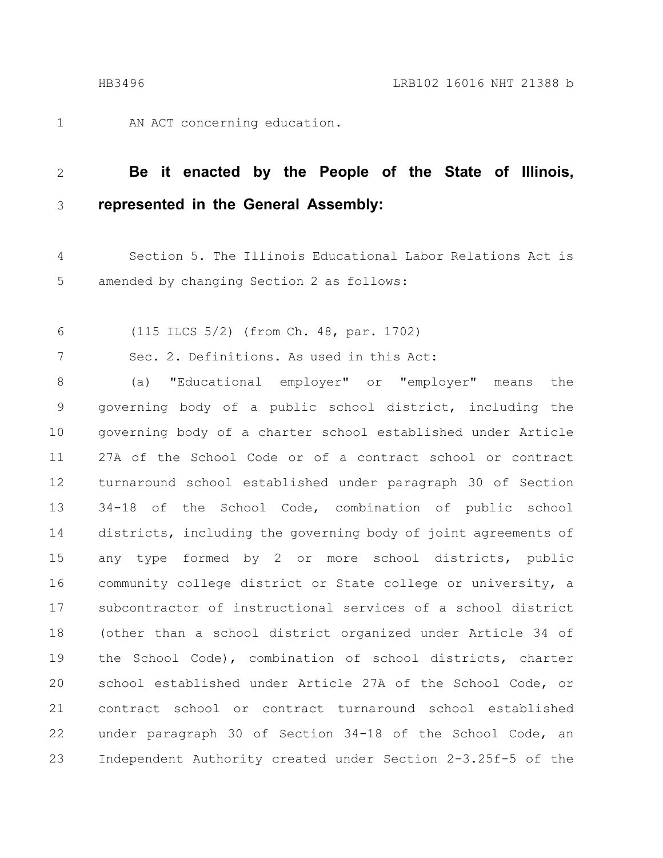1

AN ACT concerning education.

#### **Be it enacted by the People of the State of Illinois, represented in the General Assembly:** 2 3

- Section 5. The Illinois Educational Labor Relations Act is amended by changing Section 2 as follows: 4 5
- (115 ILCS 5/2) (from Ch. 48, par. 1702) 6

Sec. 2. Definitions. As used in this Act: 7

(a) "Educational employer" or "employer" means the governing body of a public school district, including the governing body of a charter school established under Article 27A of the School Code or of a contract school or contract turnaround school established under paragraph 30 of Section 34-18 of the School Code, combination of public school districts, including the governing body of joint agreements of any type formed by 2 or more school districts, public community college district or State college or university, a subcontractor of instructional services of a school district (other than a school district organized under Article 34 of the School Code), combination of school districts, charter school established under Article 27A of the School Code, or contract school or contract turnaround school established under paragraph 30 of Section 34-18 of the School Code, an Independent Authority created under Section 2-3.25f-5 of the 8 9 10 11 12 13 14 15 16 17 18 19 20 21 22 23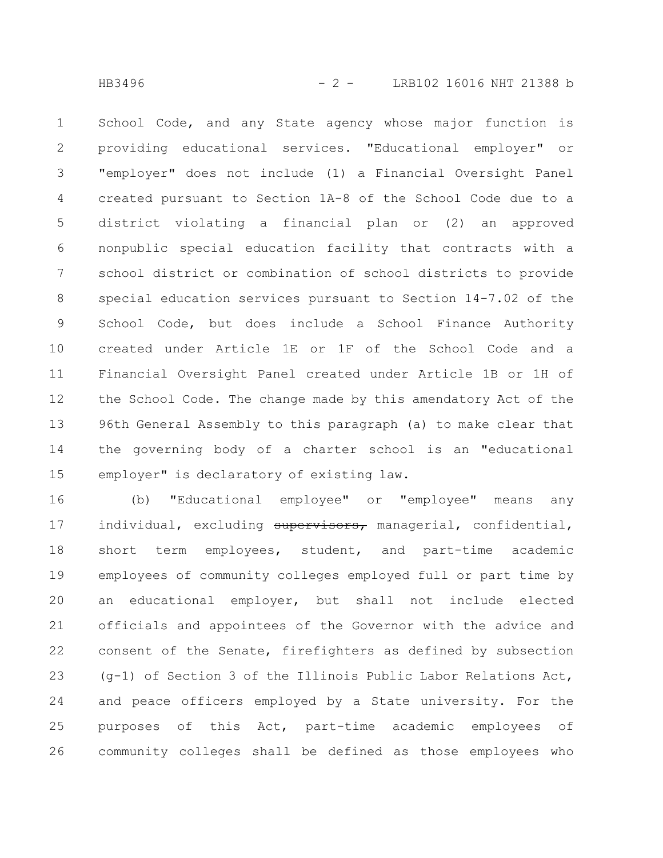School Code, and any State agency whose major function is providing educational services. "Educational employer" or "employer" does not include (1) a Financial Oversight Panel created pursuant to Section 1A-8 of the School Code due to a district violating a financial plan or (2) an approved nonpublic special education facility that contracts with a school district or combination of school districts to provide special education services pursuant to Section 14-7.02 of the School Code, but does include a School Finance Authority created under Article 1E or 1F of the School Code and a Financial Oversight Panel created under Article 1B or 1H of the School Code. The change made by this amendatory Act of the 96th General Assembly to this paragraph (a) to make clear that the governing body of a charter school is an "educational employer" is declaratory of existing law. 1 2 3 4 5 6 7 8 9 10 11 12 13 14 15

(b) "Educational employee" or "employee" means any individual, excluding supervisors, managerial, confidential, short term employees, student, and part-time academic employees of community colleges employed full or part time by an educational employer, but shall not include elected officials and appointees of the Governor with the advice and consent of the Senate, firefighters as defined by subsection (g-1) of Section 3 of the Illinois Public Labor Relations Act, and peace officers employed by a State university. For the purposes of this Act, part-time academic employees of community colleges shall be defined as those employees who 16 17 18 19 20 21 22 23 24 25 26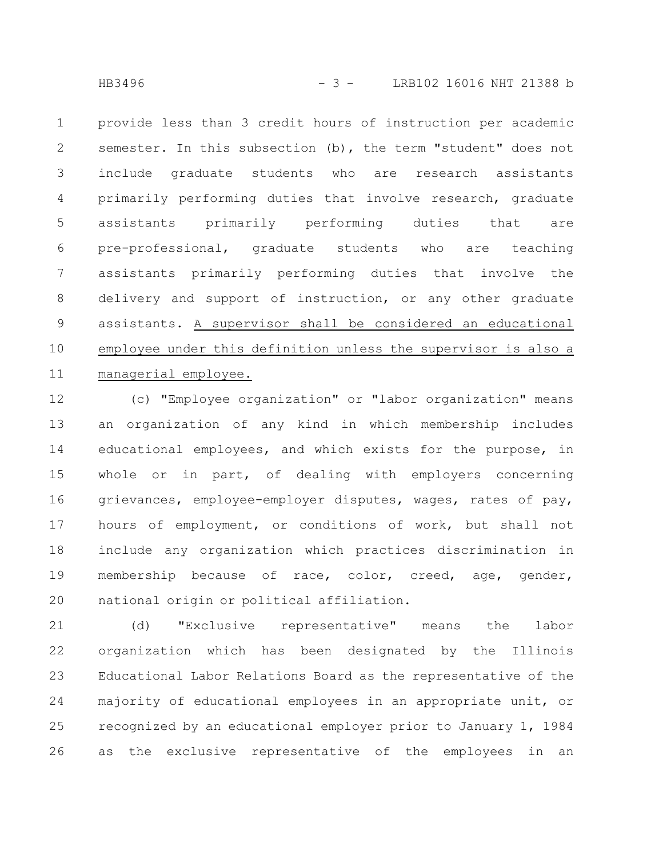provide less than 3 credit hours of instruction per academic semester. In this subsection (b), the term "student" does not include graduate students who are research assistants primarily performing duties that involve research, graduate assistants primarily performing duties that are pre-professional, graduate students who are teaching assistants primarily performing duties that involve the delivery and support of instruction, or any other graduate assistants. A supervisor shall be considered an educational employee under this definition unless the supervisor is also a managerial employee. 1 2 3 4 5 6 7 8 9 10 11

(c) "Employee organization" or "labor organization" means an organization of any kind in which membership includes educational employees, and which exists for the purpose, in whole or in part, of dealing with employers concerning grievances, employee-employer disputes, wages, rates of pay, hours of employment, or conditions of work, but shall not include any organization which practices discrimination in membership because of race, color, creed, age, gender, national origin or political affiliation. 12 13 14 15 16 17 18 19 20

(d) "Exclusive representative" means the labor organization which has been designated by the Illinois Educational Labor Relations Board as the representative of the majority of educational employees in an appropriate unit, or recognized by an educational employer prior to January 1, 1984 as the exclusive representative of the employees in an 21 22 23 24 25 26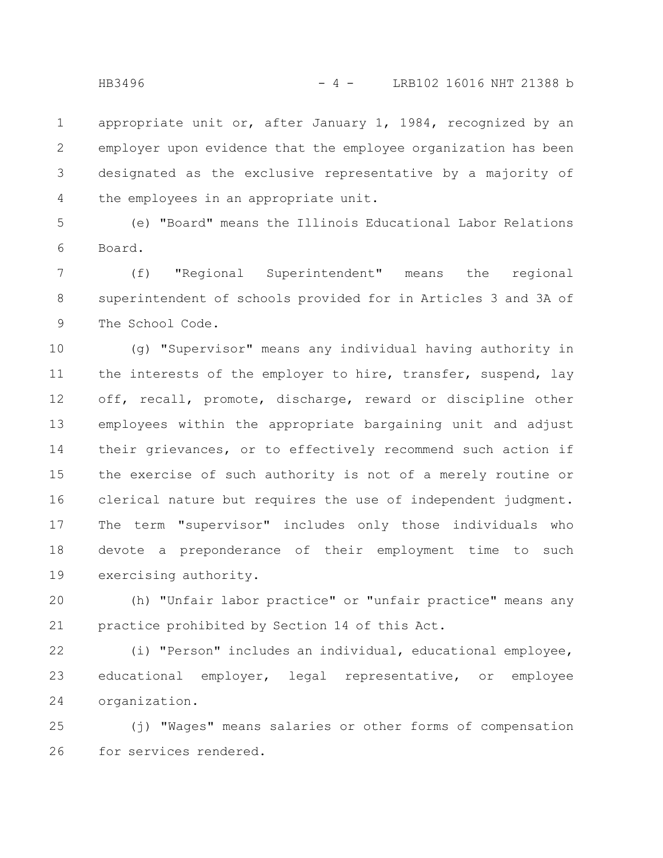appropriate unit or, after January 1, 1984, recognized by an employer upon evidence that the employee organization has been designated as the exclusive representative by a majority of the employees in an appropriate unit. 1 2 3 4

(e) "Board" means the Illinois Educational Labor Relations Board. 5 6

(f) "Regional Superintendent" means the regional superintendent of schools provided for in Articles 3 and 3A of The School Code. 7 8 9

(g) "Supervisor" means any individual having authority in the interests of the employer to hire, transfer, suspend, lay off, recall, promote, discharge, reward or discipline other employees within the appropriate bargaining unit and adjust their grievances, or to effectively recommend such action if the exercise of such authority is not of a merely routine or clerical nature but requires the use of independent judgment. The term "supervisor" includes only those individuals who devote a preponderance of their employment time to such exercising authority. 10 11 12 13 14 15 16 17 18 19

(h) "Unfair labor practice" or "unfair practice" means any practice prohibited by Section 14 of this Act. 20 21

(i) "Person" includes an individual, educational employee, educational employer, legal representative, or employee organization. 22 23 24

(j) "Wages" means salaries or other forms of compensation for services rendered. 25 26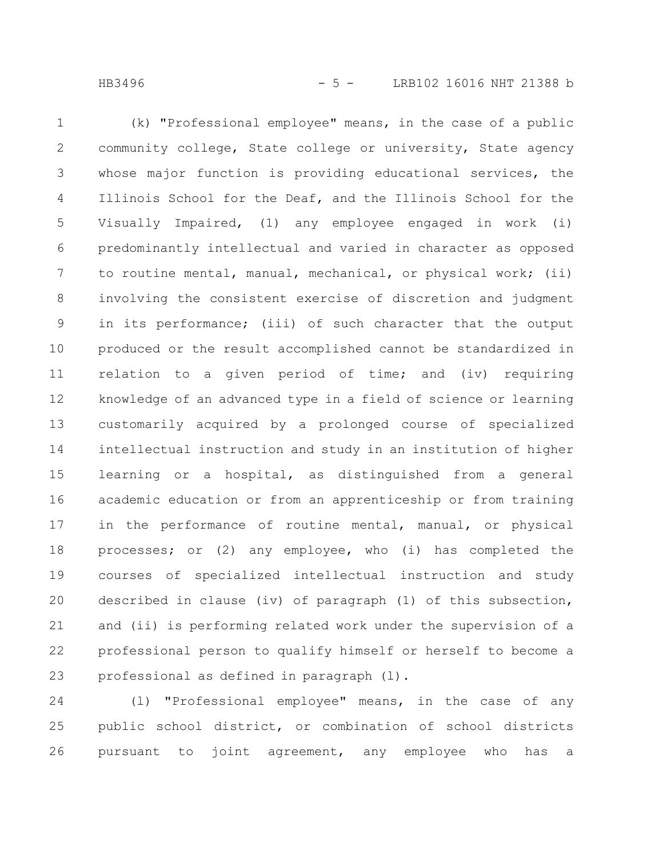(k) "Professional employee" means, in the case of a public community college, State college or university, State agency whose major function is providing educational services, the Illinois School for the Deaf, and the Illinois School for the Visually Impaired, (1) any employee engaged in work (i) predominantly intellectual and varied in character as opposed to routine mental, manual, mechanical, or physical work; (ii) involving the consistent exercise of discretion and judgment in its performance; (iii) of such character that the output produced or the result accomplished cannot be standardized in relation to a given period of time; and (iv) requiring knowledge of an advanced type in a field of science or learning customarily acquired by a prolonged course of specialized intellectual instruction and study in an institution of higher learning or a hospital, as distinguished from a general academic education or from an apprenticeship or from training in the performance of routine mental, manual, or physical processes; or (2) any employee, who (i) has completed the courses of specialized intellectual instruction and study described in clause (iv) of paragraph (1) of this subsection, and (ii) is performing related work under the supervision of a professional person to qualify himself or herself to become a professional as defined in paragraph (l). 1 2 3 4 5 6 7 8 9 10 11 12 13 14 15 16 17 18 19 20 21 22 23

(l) "Professional employee" means, in the case of any public school district, or combination of school districts pursuant to joint agreement, any employee who has a 24 25 26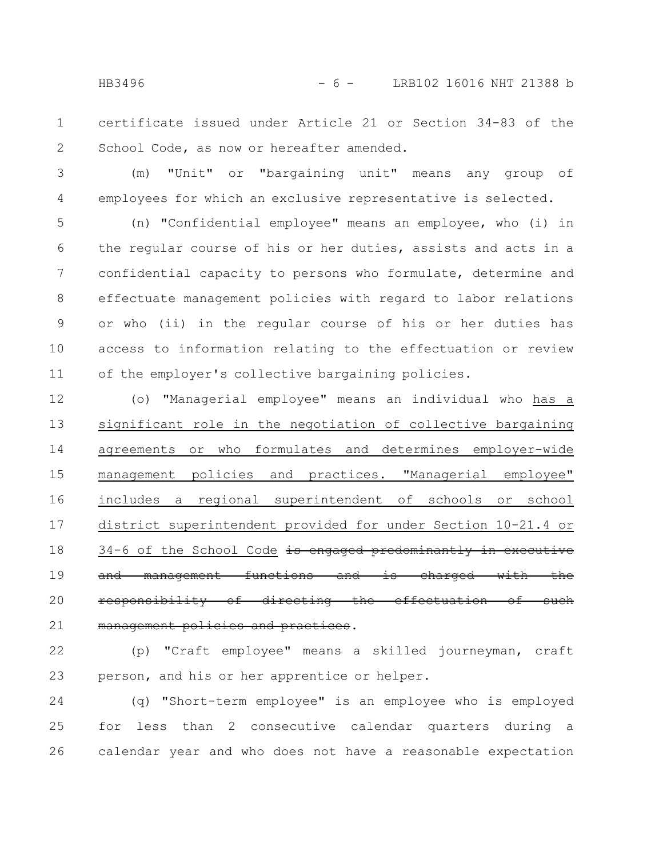- certificate issued under Article 21 or Section 34-83 of the School Code, as now or hereafter amended. 1 2
- (m) "Unit" or "bargaining unit" means any group of employees for which an exclusive representative is selected. 3 4

(n) "Confidential employee" means an employee, who (i) in the regular course of his or her duties, assists and acts in a confidential capacity to persons who formulate, determine and effectuate management policies with regard to labor relations or who (ii) in the regular course of his or her duties has access to information relating to the effectuation or review of the employer's collective bargaining policies. 5 6 7 8 9 10 11

(o) "Managerial employee" means an individual who has a significant role in the negotiation of collective bargaining agreements or who formulates and determines employer-wide management policies and practices. "Managerial employee" includes a regional superintendent of schools or school district superintendent provided for under Section 10-21.4 or 34-6 of the School Code is engaged predominantly in executive and management functions and is charged with the responsibility of directing the effectuation of such management policies and practices. 12 13 14 15 16 17 18 19 20 21

(p) "Craft employee" means a skilled journeyman, craft person, and his or her apprentice or helper. 22 23

(q) "Short-term employee" is an employee who is employed for less than 2 consecutive calendar quarters during a calendar year and who does not have a reasonable expectation 24 25 26